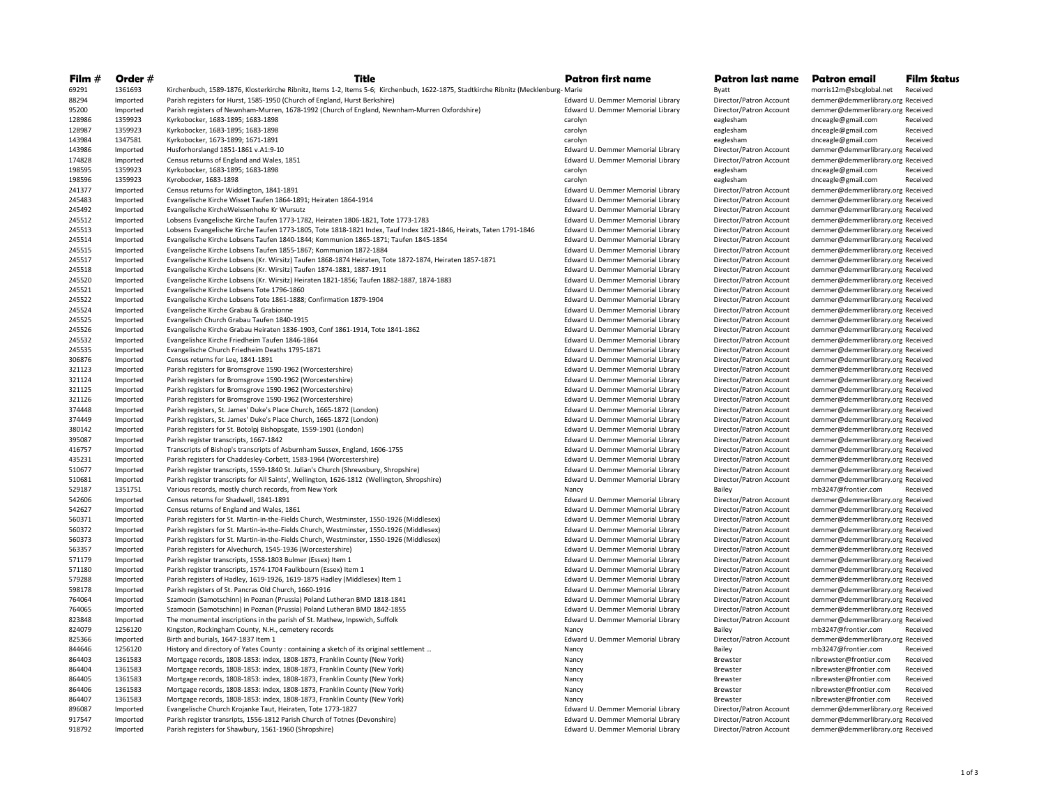| Film #           | Order #              | Title                                                                                                                                | Patron first name                          | Patron last name                  | Patron email                                              | Film Status |
|------------------|----------------------|--------------------------------------------------------------------------------------------------------------------------------------|--------------------------------------------|-----------------------------------|-----------------------------------------------------------|-------------|
| 69291            | 1361693              | Kirchenbuch, 1589-1876, Klosterkirche Ribnitz, Items 1-2, Items 5-6; Kirchenbuch, 1622-1875, Stadtkirche Ribnitz (Mecklenburg- Marie |                                            | <b>Byatt</b>                      | morris12m@sbcglobal.net                                   | Received    |
| 88294            | Imported             | Parish registers for Hurst, 1585-1950 (Church of England, Hurst Berkshire)                                                           | Edward U. Demmer Memorial Library          | Director/Patron Account           | demmer@demmerlibrary.org Received                         |             |
| 95200            | Imported             | Parish registers of Newnham-Murren, 1678-1992 (Church of England, Newnham-Murren Oxfordshire)                                        | Edward U. Demmer Memorial Library          | Director/Patron Account           | demmer@demmerlibrary.org Received                         |             |
| 128986           | 1359923              | Kyrkobocker, 1683-1895; 1683-1898                                                                                                    | carolyn                                    | eaglesham                         | dnceagle@gmail.com                                        | Received    |
| 128987           | 1359923              | Kyrkobocker, 1683-1895; 1683-1898                                                                                                    | carolyn                                    | eaglesham                         | dnceagle@gmail.com                                        | Received    |
| 143984           | 1347581              | Kyrkobocker, 1673-1899; 1671-1891                                                                                                    | carolyn                                    | eaglesham                         | dnceagle@gmail.com                                        | Received    |
| 143986           | Imported             | Husforhorslangd 1851-1861 v.A1:9-10                                                                                                  | Edward U. Demmer Memorial Library          | Director/Patron Account           | demmer@demmerlibrary.org Received                         |             |
| 174828           | Imported             | Census returns of England and Wales, 1851                                                                                            | Edward U. Demmer Memorial Library          | Director/Patron Account           | demmer@demmerlibrary.org Received                         |             |
| 198595           | 1359923              | Kyrkobocker, 1683-1895; 1683-1898                                                                                                    | carolyn                                    | eaglesham                         | dnceagle@gmail.com                                        | Received    |
| 198596           | 1359923              | Kyrobocker, 1683-1898                                                                                                                | carolyn                                    | eaglesham                         | dnceagle@gmail.com                                        | Received    |
| 241377           | Imported             | Census returns for Widdington, 1841-1891                                                                                             | Edward U. Demmer Memorial Library          | Director/Patron Account           | demmer@demmerlibrary.org Received                         |             |
| 245483           | Imported             | Evangelische Kirche Wisset Taufen 1864-1891; Heiraten 1864-1914                                                                      | Edward U. Demmer Memorial Library          | Director/Patron Account           | demmer@demmerlibrary.org Received                         |             |
| 245492           | Imported             | Evangelische KircheWeissenhohe Kr Wursutz                                                                                            | Edward U. Demmer Memorial Library          | Director/Patron Account           | demmer@demmerlibrary.org Received                         |             |
| 245512           | Imported             | Lobsens Evangelische Kirche Taufen 1773-1782, Heiraten 1806-1821, Tote 1773-1783                                                     | Edward U. Demmer Memorial Library          | Director/Patron Account           | demmer@demmerlibrary.org Received                         |             |
| 245513           | Imported             | Lobsens Evangelische Kirche Taufen 1773-1805, Tote 1818-1821 Index, Tauf Index 1821-1846, Heirats, Taten 1791-1846                   | Edward U. Demmer Memorial Library          | Director/Patron Account           | demmer@demmerlibrary.org Received                         |             |
| 245514           | Imported             | Evangelische Kirche Lobsens Taufen 1840-1844: Kommunion 1865-1871: Taufen 1845-1854                                                  | Edward U. Demmer Memorial Library          | Director/Patron Account           | demmer@demmerlibrary.org Received                         |             |
| 245515           | Imported             | Evangelische Kirche Lobsens Taufen 1855-1867; Kommunion 1872-1884                                                                    | Edward U. Demmer Memorial Library          | Director/Patron Account           | demmer@demmerlibrary.org Received                         |             |
| 245517           | Imported             | Evangelische Kirche Lobsens (Kr. Wirsitz) Taufen 1868-1874 Heiraten, Tote 1872-1874, Heiraten 1857-1871                              | Edward U. Demmer Memorial Library          | Director/Patron Account           | demmer@demmerlibrary.org Received                         |             |
| 245518           | Imported             | Evangelische Kirche Lobsens (Kr. Wirsitz) Taufen 1874-1881, 1887-1911                                                                | Edward U. Demmer Memorial Library          | Director/Patron Account           | demmer@demmerlibrary.org Received                         |             |
| 245520           | Imported             | Evangelische Kirche Lobsens (Kr. Wirsitz) Heiraten 1821-1856; Taufen 1882-1887, 1874-1883                                            | Edward U. Demmer Memorial Library          | Director/Patron Account           | demmer@demmerlibrary.org Received                         |             |
| 245521           | Imported             | Evangelische Kirche Lobsens Tote 1796-1860                                                                                           | Edward U. Demmer Memorial Library          | Director/Patron Account           | demmer@demmerlibrary.org Received                         |             |
| 245522           | Imported             | Evangelische Kirche Lobsens Tote 1861-1888; Confirmation 1879-1904                                                                   | Edward U. Demmer Memorial Library          | Director/Patron Account           | demmer@demmerlibrary.org Received                         |             |
| 245524           | Imported             | Evangelische Kirche Grabau & Grabionne                                                                                               | Edward U. Demmer Memorial Library          | Director/Patron Account           | demmer@demmerlibrary.org Received                         |             |
| 245525           | Imported             | Evangelisch Church Grabau Taufen 1840-1915                                                                                           | Edward U. Demmer Memorial Library          | Director/Patron Account           | demmer@demmerlibrary.org Received                         |             |
| 245526           | Imported             | Evangelische Kirche Grabau Heiraten 1836-1903, Conf 1861-1914, Tote 1841-1862                                                        | Edward U. Demmer Memorial Library          | Director/Patron Account           | demmer@demmerlibrary.org Received                         |             |
| 245532           | Imported             | Evangelishce Kirche Friedheim Taufen 1846-1864                                                                                       | Edward U. Demmer Memorial Library          | Director/Patron Account           | demmer@demmerlibrary.org Received                         |             |
| 245535           | Imported             | Evangelische Church Friedheim Deaths 1795-1871                                                                                       | Edward U. Demmer Memorial Library          | Director/Patron Account           | demmer@demmerlibrary.org Received                         |             |
| 306876           | Imported             | Census returns for Lee, 1841-1891                                                                                                    | Edward U. Demmer Memorial Library          | Director/Patron Account           | demmer@demmerlibrary.org Received                         |             |
| 321123           | Imported             | Parish registers for Bromsgrove 1590-1962 (Worcestershire)                                                                           | Edward U. Demmer Memorial Library          | Director/Patron Account           | demmer@demmerlibrary.org Received                         |             |
| 321124           | Imported             | Parish registers for Bromsgrove 1590-1962 (Worcestershire)                                                                           | Edward U. Demmer Memorial Library          | Director/Patron Account           | demmer@demmerlibrary.org Received                         |             |
| 321125           | Imported             | Parish registers for Bromsgrove 1590-1962 (Worcestershire)                                                                           | Edward U. Demmer Memorial Library          | Director/Patron Account           | demmer@demmerlibrary.org Received                         |             |
| 321126           | Imported             | Parish registers for Bromsgrove 1590-1962 (Worcestershire)                                                                           | Edward U. Demmer Memorial Library          | Director/Patron Account           | demmer@demmerlibrary.org Received                         |             |
| 374448           | Imported             | Parish registers, St. James' Duke's Place Church, 1665-1872 (London)                                                                 | Edward U. Demmer Memorial Library          | Director/Patron Account           | demmer@demmerlibrary.org Received                         |             |
| 374449           | Imported             | Parish registers, St. James' Duke's Place Church, 1665-1872 (London)                                                                 | Edward U. Demmer Memorial Library          | Director/Patron Account           | demmer@demmerlibrary.org Received                         |             |
| 380142           | Imported             | Parish registers for St. Botolpj Bishopsgate, 1559-1901 (London)                                                                     | Edward U. Demmer Memorial Library          | Director/Patron Account           | demmer@demmerlibrary.org Received                         |             |
| 395087           | Imported             | Parish register transcripts, 1667-1842                                                                                               | Edward U. Demmer Memorial Library          | Director/Patron Account           | demmer@demmerlibrary.org Received                         |             |
| 416757           | Imported             | Transcripts of Bishop's transcripts of Asburnham Sussex, England, 1606-1755                                                          | Edward U. Demmer Memorial Library          | Director/Patron Account           | demmer@demmerlibrary.org Received                         |             |
| 435231           | Imported             | Parish registers for Chaddesley-Corbett, 1583-1964 (Worcestershire)                                                                  | Edward U. Demmer Memorial Library          | Director/Patron Account           | demmer@demmerlibrary.org Received                         |             |
| 510677           | Imported             | Parish register transcripts, 1559-1840 St. Julian's Church (Shrewsbury, Shropshire)                                                  | Edward U. Demmer Memorial Library          | Director/Patron Account           | demmer@demmerlibrary.org Received                         |             |
| 510681           | Imported             | Parish register transcripts for All Saints', Wellington, 1626-1812 (Wellington, Shropshire)                                          | Edward U. Demmer Memorial Library          | Director/Patron Account           | demmer@demmerlibrary.org Received                         |             |
| 529187           | 1351751              | Various records, mostly church records, from New York                                                                                | Nancy                                      | Bailey                            | rnb3247@frontier.com                                      | Received    |
| 542606           | Imported             | Census returns for Shadwell, 1841-1891                                                                                               | Edward U. Demmer Memorial Library          | Director/Patron Account           | demmer@demmerlibrary.org Received                         |             |
| 542627           | Imported             | Census returns of England and Wales, 1861                                                                                            | Edward U. Demmer Memorial Library          | Director/Patron Account           | demmer@demmerlibrary.org Received                         |             |
| 560371           | Imported             | Parish registers for St. Martin-in-the-Fields Church, Westminster, 1550-1926 (Middlesex)                                             | Edward U. Demmer Memorial Library          | Director/Patron Account           | demmer@demmerlibrary.org Received                         |             |
| 560372           | Imported             | Parish registers for St. Martin-in-the-Fields Church, Westminster, 1550-1926 (Middlesex)                                             | Edward U. Demmer Memorial Library          | Director/Patron Account           | demmer@demmerlibrary.org Received                         |             |
| 560373           | Imported             | Parish registers for St. Martin-in-the-Fields Church, Westminster, 1550-1926 (Middlesex)                                             | Edward U. Demmer Memorial Library          | Director/Patron Account           | demmer@demmerlibrary.org Received                         |             |
| 563357           | Imported             | Parish registers for Alvechurch, 1545-1936 (Worcestershire)                                                                          | Edward U. Demmer Memorial Library          | Director/Patron Account           | demmer@demmerlibrary.org Received                         |             |
| 571179           | Imported             | Parish register transcripts, 1558-1803 Bulmer (Essex) Item 1                                                                         | Edward U. Demmer Memorial Library          | Director/Patron Account           | demmer@demmerlibrary.org Received                         |             |
| 571180           | Imported             | Parish register transcripts, 1574-1704 Faulkbourn (Essex) Item 1                                                                     | Edward U. Demmer Memorial Library          | Director/Patron Account           | demmer@demmerlibrary.org Received                         |             |
| 579288           | Imported             | Parish registers of Hadley, 1619-1926, 1619-1875 Hadley (Middlesex) Item 1                                                           | Edward U. Demmer Memorial Library          | Director/Patron Account           | demmer@demmerlibrary.org Received                         |             |
| 598178           | Imported             | Parish registers of St. Pancras Old Church, 1660-1916                                                                                | Edward U. Demmer Memorial Library          | Director/Patron Account           | demmer@demmerlibrary.org Received                         |             |
| 764064           |                      | Szamocin (Samotschinn) in Poznan (Prussia) Poland Lutheran BMD 1818-1841                                                             | Edward U. Demmer Memorial Library          | Director/Patron Account           | demmer@demmerlibrary.org Received                         |             |
| 764065           | Imported<br>Imported | Szamocin (Samotschinn) in Poznan (Prussia) Poland Lutheran BMD 1842-1855                                                             | Edward U. Demmer Memorial Library          | Director/Patron Account           | demmer@demmerlibrary.org Received                         |             |
|                  |                      |                                                                                                                                      | Edward U. Demmer Memorial Library          |                                   |                                                           |             |
| 823848<br>824079 | Imported<br>1256120  | The monumental inscriptions in the parish of St. Mathew, Inpswich, Suffolk<br>Kingston, Rockingham County, N.H., cemetery records    | Nancy                                      | Director/Patron Account<br>Bailey | demmer@demmerlibrary.org Received<br>rnb3247@frontier.com | Received    |
| 825366           | Imported             | Birth and burials, 1647-1837 Item 1                                                                                                  |                                            |                                   |                                                           |             |
| 844646           | 1256120              | History and directory of Yates County : containing a sketch of its original settlement                                               | Edward U. Demmer Memorial Library<br>Nancy | Director/Patron Account<br>Bailey | demmer@demmerlibrary.org Received<br>rnb3247@frontier.com | Received    |
|                  |                      |                                                                                                                                      |                                            |                                   |                                                           |             |
| 864403           | 1361583              | Mortgage records, 1808-1853: index, 1808-1873, Franklin County (New York)                                                            | Nancy                                      | Brewster                          | nlbrewster@frontier.com                                   | Received    |
| 864404           | 1361583              | Mortgage records, 1808-1853: index, 1808-1873, Franklin County (New York)                                                            | Nancy                                      | Brewster                          | nlbrewster@frontier.com                                   | Received    |
| 864405           | 1361583              | Mortgage records, 1808-1853: index, 1808-1873, Franklin County (New York)                                                            | Nancy                                      | Brewster                          | nlbrewster@frontier.com                                   | Received    |
| 864406           | 1361583              | Mortgage records, 1808-1853: index, 1808-1873, Franklin County (New York)                                                            | Nancy                                      | Brewster                          | nlbrewster@frontier.com                                   | Received    |
| 864407           | 1361583              | Mortgage records, 1808-1853: index, 1808-1873, Franklin County (New York)                                                            | Nancy                                      | Brewster                          | nlbrewster@frontier.com                                   | Received    |
| 896087           | Imported             | Evangelische Church Krojanke Taut, Heiraten, Tote 1773-1827                                                                          | Edward U. Demmer Memorial Library          | Director/Patron Account           | demmer@demmerlibrary.org Received                         |             |
| 917547           | Imported             | Parish register transripts, 1556-1812 Parish Church of Totnes (Devonshire)                                                           | Edward U. Demmer Memorial Library          | Director/Patron Account           | demmer@demmerlibrary.org Received                         |             |
| 918792           | Imported             | Parish registers for Shawbury, 1561-1960 (Shropshire)                                                                                | Edward U. Demmer Memorial Library          | Director/Patron Account           | demmer@demmerlibrary.org Received                         |             |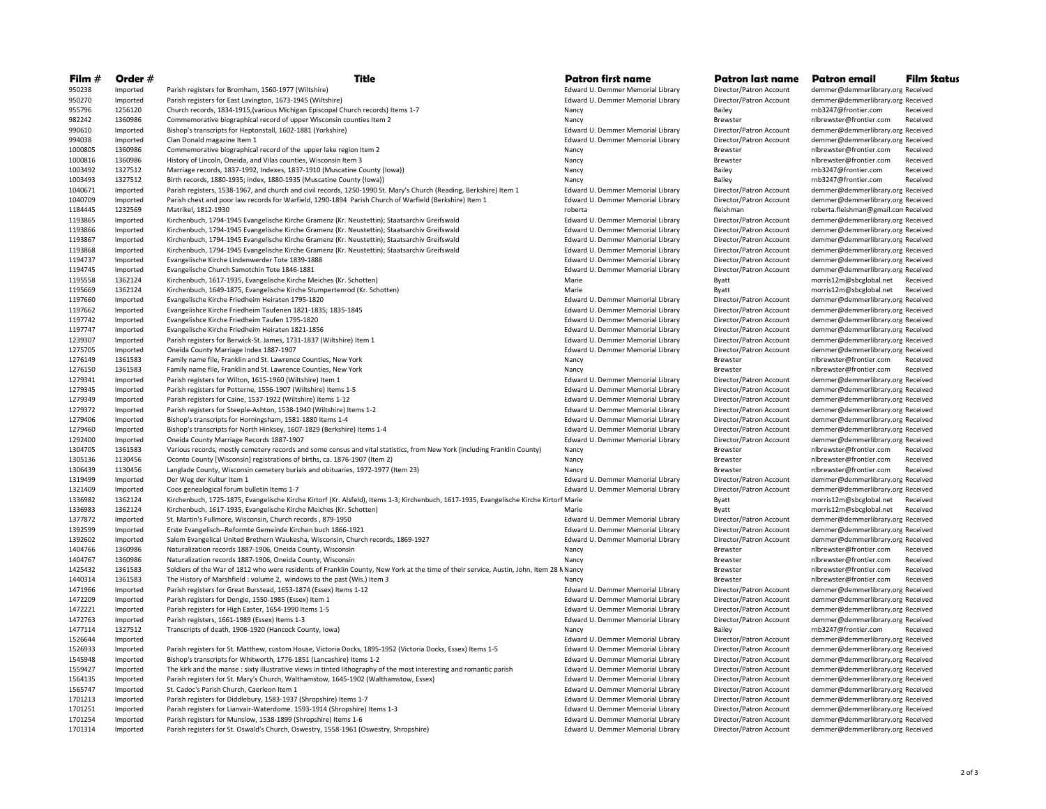| Film $#$           | Order #              | Title                                                                                                                                                                                                                        | <b>Patron first name</b>                                               | Patron last name                                   | Patron email                                                           | <b>Film Status</b> |
|--------------------|----------------------|------------------------------------------------------------------------------------------------------------------------------------------------------------------------------------------------------------------------------|------------------------------------------------------------------------|----------------------------------------------------|------------------------------------------------------------------------|--------------------|
| 950238             | Imported             | Parish registers for Bromham, 1560-1977 (Wiltshire)                                                                                                                                                                          | Edward U. Demmer Memorial Library                                      | Director/Patron Account                            | demmer@demmerlibrary.org Received                                      |                    |
| 950270             | Imported             | Parish registers for East Lavington, 1673-1945 (Wiltshire)                                                                                                                                                                   | Edward U. Demmer Memorial Library                                      | Director/Patron Account                            | demmer@demmerlibrary.org Received                                      |                    |
| 955796             | 1256120              | Church records, 1834-1915, (various Michigan Episcopal Church records) Items 1-7                                                                                                                                             | Nancy                                                                  | Bailey                                             | rnb3247@frontier.com                                                   | Received           |
| 982242             | 1360986              | Commemorative biographical record of upper Wisconsin counties Item 2                                                                                                                                                         | Nancy                                                                  | <b>Brewster</b>                                    | nlbrewster@frontier.com                                                | Received           |
| 990610             | Imported             | Bishop's transcripts for Heptonstall, 1602-1881 (Yorkshire)                                                                                                                                                                  | Edward U. Demmer Memorial Library                                      | Director/Patron Account                            | demmer@demmerlibrary.org Received                                      |                    |
| 994038             | Imported             | Clan Donald magazine Item 1                                                                                                                                                                                                  | Edward U. Demmer Memorial Library                                      | Director/Patron Account                            | demmer@demmerlibrary.org Received                                      |                    |
| 1000805            | 1360986              | Commemorative biographical record of the upper lake region Item 2                                                                                                                                                            | Nancy                                                                  | Brewster                                           | nlbrewster@frontier.com                                                | Received           |
| 1000816            | 1360986              | History of Lincoln, Oneida, and Vilas counties, Wisconsin Item 3                                                                                                                                                             | Nancy                                                                  | Brewster                                           | nlbrewster@frontier.com                                                | Received           |
| 1003492            | 1327512              | Marriage records, 1837-1992, Indexes, 1837-1910 (Muscatine County (Iowa))                                                                                                                                                    | Nancy                                                                  | Bailey                                             | rnb3247@frontier.com                                                   | Received           |
| 1003493            | 1327512              | Birth records, 1880-1935; index, 1880-1935 (Muscatine County (lowa))                                                                                                                                                         | Nancy                                                                  | Bailey                                             | rnb3247@frontier.com                                                   | Received           |
| 1040671<br>1040709 | Imported<br>Imported | Parish registers, 1538-1967, and church and civil records, 1250-1990 St. Mary's Church (Reading, Berkshire) Item 1<br>Parish chest and poor law records for Warfield, 1290-1894 Parish Church of Warfield (Berkshire) Item 1 | Edward U. Demmer Memorial Library<br>Edward U. Demmer Memorial Library | Director/Patron Account<br>Director/Patron Account | demmer@demmerlibrary.org Received<br>demmer@demmerlibrary.org Received |                    |
| 1184445            | 1232569              | Matrikel. 1812-1930                                                                                                                                                                                                          | roberta                                                                | fleishman                                          | roberta.fleishman@gmail.con Received                                   |                    |
| 1193865            | Imported             | Kirchenbuch, 1794-1945 Evangelische Kirche Gramenz (Kr. Neustettin); Staatsarchiv Greifswald                                                                                                                                 | Edward U. Demmer Memorial Library                                      | Director/Patron Account                            | demmer@demmerlibrary.org Received                                      |                    |
| 1193866            | Imported             | Kirchenbuch, 1794-1945 Evangelische Kirche Gramenz (Kr. Neustettin); Staatsarchiv Greifswald                                                                                                                                 | Edward U. Demmer Memorial Library                                      | Director/Patron Account                            | demmer@demmerlibrary.org Received                                      |                    |
| 1193867            | Imported             | Kirchenbuch, 1794-1945 Evangelische Kirche Gramenz (Kr. Neustettin); Staatsarchiv Greifswald                                                                                                                                 | Edward U. Demmer Memorial Library                                      | Director/Patron Account                            | demmer@demmerlibrary.org Received                                      |                    |
| 1193868            | Imported             | Kirchenbuch, 1794-1945 Evangelische Kirche Gramenz (Kr. Neustettin); Staatsarchiv Greifswald                                                                                                                                 | Edward U. Demmer Memorial Library                                      | Director/Patron Account                            | demmer@demmerlibrary.org Received                                      |                    |
| 1194737            | Imported             | Evangelische Kirche Lindenwerder Tote 1839-1888                                                                                                                                                                              | Edward U. Demmer Memorial Library                                      | Director/Patron Account                            | demmer@demmerlibrary.org Received                                      |                    |
| 1194745            | Imported             | Evangelische Church Samotchin Tote 1846-1881                                                                                                                                                                                 | Edward U. Demmer Memorial Library                                      | Director/Patron Account                            | demmer@demmerlibrary.org Received                                      |                    |
| 1195558            | 1362124              | Kirchenbuch, 1617-1935, Evangelische Kirche Meiches (Kr. Schotten)                                                                                                                                                           | Marie                                                                  | Byatt                                              | morris12m@sbcglobal.net Received                                       |                    |
| 1195669            | 1362124              | Kirchenbuch, 1649-1875, Evangelische Kirche Stumpertenrod (Kr. Schotten)                                                                                                                                                     | Marie                                                                  | Byatt                                              | morris12m@sbcglobal.net                                                | Received           |
| 1197660            | Imported             | Evangelische Kirche Friedheim Heiraten 1795-1820                                                                                                                                                                             | Edward U. Demmer Memorial Library                                      | Director/Patron Account                            | demmer@demmerlibrary.org Received                                      |                    |
| 1197662            | Imported             | Evangelishce Kirche Friedheim Taufenen 1821-1835; 1835-1845                                                                                                                                                                  | Edward U. Demmer Memorial Library                                      | Director/Patron Account                            | demmer@demmerlibrary.org Received                                      |                    |
| 1197742            | Imported             | Evangelishce Kirche Friedheim Taufen 1795-1820                                                                                                                                                                               | Edward U. Demmer Memorial Library                                      | Director/Patron Account                            | demmer@demmerlibrary.org Received                                      |                    |
| 1197747<br>1239307 | Imported<br>Imported | Evangelische Kirche Friedheim Heiraten 1821-1856<br>Parish registers for Berwick-St. James, 1731-1837 (Wiltshire) Item 1                                                                                                     | Edward U. Demmer Memorial Library<br>Edward U. Demmer Memorial Library | Director/Patron Account<br>Director/Patron Account | demmer@demmerlibrary.org Received<br>demmer@demmerlibrary.org Received |                    |
| 1275705            | Imported             | Oneida County Marriage Index 1887-1907                                                                                                                                                                                       | Edward U. Demmer Memorial Library                                      | Director/Patron Account                            | demmer@demmerlibrary.org Received                                      |                    |
| 1276149            | 1361583              | Family name file, Franklin and St. Lawrence Counties, New York                                                                                                                                                               | Nancy                                                                  | Brewster                                           | nlbrewster@frontier.com                                                | Received           |
| 1276150            | 1361583              | Family name file, Franklin and St. Lawrence Counties, New York                                                                                                                                                               | Nancy                                                                  | Brewster                                           | nlbrewster@frontier.com                                                | Received           |
| 1279341            | Imported             | Parish registers for Wilton, 1615-1960 (Wiltshire) Item 1                                                                                                                                                                    | Edward U. Demmer Memorial Library                                      | Director/Patron Account                            | demmer@demmerlibrary.org Received                                      |                    |
| 1279345            | Imported             | Parish registers for Potterne, 1556-1907 (Wiltshire) Items 1-5                                                                                                                                                               | Edward U. Demmer Memorial Library                                      | Director/Patron Account                            | demmer@demmerlibrary.org Received                                      |                    |
| 1279349            | Imported             | Parish registers for Caine, 1537-1922 (Wiltshire) Items 1-12                                                                                                                                                                 | Edward U. Demmer Memorial Library                                      | Director/Patron Account                            | demmer@demmerlibrary.org Received                                      |                    |
| 1279372            | Imported             | Parish registers for Steeple-Ashton, 1538-1940 (Wiltshire) Items 1-2                                                                                                                                                         | Edward U. Demmer Memorial Library                                      | Director/Patron Account                            | demmer@demmerlibrary.org Received                                      |                    |
| 1279406            | Imported             | Bishop's transcripts for Horningsham, 1581-1880 Items 1-4                                                                                                                                                                    | Edward U. Demmer Memorial Library                                      | Director/Patron Account                            | demmer@demmerlibrary.org Received                                      |                    |
| 1279460            | Imported             | Bishop's transcripts for North Hinksey, 1607-1829 (Berkshire) Items 1-4                                                                                                                                                      | Edward U. Demmer Memorial Library                                      | Director/Patron Account                            | demmer@demmerlibrary.org Received                                      |                    |
| 1292400            | Imported             | Oneida County Marriage Records 1887-1907                                                                                                                                                                                     | Edward U. Demmer Memorial Library                                      | Director/Patron Account                            | demmer@demmerlibrary.org Received                                      |                    |
| 1304705            | 1361583              | Various records, mostly cemetery records and some census and vital statistics, from New York (including Franklin County)                                                                                                     | Nancy                                                                  | Brewster                                           | nlbrewster@frontier.com                                                | Received           |
| 1305136            | 1130456              | Oconto County [Wisconsin] registrations of births, ca. 1876-1907 (Item 2)                                                                                                                                                    | Nancy                                                                  | Brewster                                           | nlbrewster@frontier.com                                                | Received           |
| 1306439<br>1319499 | 1130456              | Langlade County, Wisconsin cemetery burials and obituaries, 1972-1977 (Item 23)                                                                                                                                              | Nancy                                                                  | Brewster                                           | nlbrewster@frontier.com                                                | Received           |
| 1321409            | Imported<br>Imported | Der Weg der Kultur Item 1<br>Coos genealogical forum bulletin Items 1-7                                                                                                                                                      | Edward U. Demmer Memorial Library<br>Edward U. Demmer Memorial Library | Director/Patron Account<br>Director/Patron Account | demmer@demmerlibrary.org Received<br>demmer@demmerlibrary.org Received |                    |
| 1336982            | 1362124              | Kirchenbuch, 1725-1875, Evangelische Kirche Kirtorf (Kr. Alsfeld), Items 1-3; Kirchenbuch, 1617-1935, Evangelische Kirche Kirtorf Marie                                                                                      |                                                                        | Byatt                                              | morris12m@sbcglobal.net                                                | Received           |
| 1336983            | 1362124              | Kirchenbuch, 1617-1935, Evangelische Kirche Meiches (Kr. Schotten)                                                                                                                                                           | Marie                                                                  | Byatt                                              | morris12m@sbcglobal.net                                                | Received           |
| 1377872            | Imported             | St. Martin's Fullmore, Wisconsin, Church records, 879-1950                                                                                                                                                                   | Edward U. Demmer Memorial Library                                      | Director/Patron Account                            | demmer@demmerlibrary.org Received                                      |                    |
| 1392599            | Imported             | Erste Evangelisch--Reformte Gemeinde Kirchen buch 1866-1921                                                                                                                                                                  | Edward U. Demmer Memorial Library                                      | Director/Patron Account                            | demmer@demmerlibrary.org Received                                      |                    |
| 1392602            | Imported             | Salem Evangelical United Brethern Waukesha, Wisconsin, Church records, 1869-1927                                                                                                                                             | Edward U. Demmer Memorial Library                                      | Director/Patron Account                            | demmer@demmerlibrary.org Received                                      |                    |
| 1404766            | 1360986              | Naturalization records 1887-1906, Oneida County, Wisconsin                                                                                                                                                                   | Nancy                                                                  | Brewster                                           | nlbrewster@frontier.com                                                | Received           |
| 1404767            | 1360986              | Naturalization records 1887-1906, Oneida County, Wisconsin                                                                                                                                                                   | Nancy                                                                  | Brewster                                           | nlbrewster@frontier.com                                                | Received           |
| 1425432            | 1361583              | Soldiers of the War of 1812 who were residents of Franklin County, New York at the time of their service, Austin, John, Item 28 M Nancy                                                                                      |                                                                        | Brewster                                           | nlbrewster@frontier.com                                                | Received           |
| 1440314            | 1361583              | The History of Marshfield : volume 2, windows to the past (Wis.) Item 3                                                                                                                                                      | Nancy                                                                  | Brewster                                           | nlbrewster@frontier.com                                                | Received           |
| 1471966            | Imported             | Parish registers for Great Burstead, 1653-1874 (Essex) Items 1-12                                                                                                                                                            | Edward U. Demmer Memorial Library                                      | Director/Patron Account                            | demmer@demmerlibrary.org Received                                      |                    |
| 1472209            | Imported             | Parish registers for Dengie, 1550-1985 (Essex) Item 1                                                                                                                                                                        | Edward U. Demmer Memorial Library                                      | Director/Patron Account                            | demmer@demmerlibrary.org Received                                      |                    |
| 1472221<br>1472763 | Imported<br>Imported | Parish registers for High Easter, 1654-1990 Items 1-5<br>Parish registers, 1661-1989 (Essex) Items 1-3                                                                                                                       | Edward U. Demmer Memorial Library<br>Edward U. Demmer Memorial Library | Director/Patron Account<br>Director/Patron Account | demmer@demmerlibrary.org Received<br>demmer@demmerlibrary.org Received |                    |
| 1477114            | 1327512              | Transcripts of death, 1906-1920 (Hancock County, Iowa)                                                                                                                                                                       | Nancy                                                                  | Bailey                                             | rnb3247@frontier.com                                                   | Received           |
| 1526644            | Imported             |                                                                                                                                                                                                                              | Edward U. Demmer Memorial Library                                      | Director/Patron Account                            | demmer@demmerlibrary.org Received                                      |                    |
| 1526933            | Imported             | Parish registers for St. Matthew, custom House, Victoria Docks, 1895-1952 (Victoria Docks, Essex) Items 1-5                                                                                                                  | Edward U. Demmer Memorial Library                                      | Director/Patron Account                            | demmer@demmerlibrary.org Received                                      |                    |
| 1545948            | Imported             | Bishop's transcripts for Whitworth, 1776-1851 (Lancashire) Items 1-2                                                                                                                                                         | Edward U. Demmer Memorial Library                                      | Director/Patron Account                            | demmer@demmerlibrary.org Received                                      |                    |
| 1559427            | Imported             | The kirk and the manse: sixty illustrative views in tinted lithography of the most interesting and romantic parish                                                                                                           | Edward U. Demmer Memorial Library                                      | Director/Patron Account                            | demmer@demmerlibrary.org Received                                      |                    |
| 1564135            | Imported             | Parish registers for St. Mary's Church, Walthamstow, 1645-1902 (Walthamstow, Essex)                                                                                                                                          | Edward U. Demmer Memorial Library                                      | Director/Patron Account                            | demmer@demmerlibrary.org Received                                      |                    |
| 1565747            | Imported             | St. Cadoc's Parish Church, Caerleon Item 1                                                                                                                                                                                   | Edward U. Demmer Memorial Library                                      | Director/Patron Account                            | demmer@demmerlibrary.org Received                                      |                    |
| 1701213            | Imported             | Parish registers for Diddlebury, 1583-1937 (Shropshire) Items 1-7                                                                                                                                                            | Edward U. Demmer Memorial Library                                      | Director/Patron Account                            | demmer@demmerlibrary.org Received                                      |                    |
| 1701251            | Imported             | Parish registers for Lianvair-Waterdome. 1593-1914 (Shropshire) Items 1-3                                                                                                                                                    | Edward U. Demmer Memorial Library                                      | Director/Patron Account                            | demmer@demmerlibrary.org Received                                      |                    |
| 1701254            | Imported             | Parish registers for Munslow, 1538-1899 (Shropshire) Items 1-6                                                                                                                                                               | Edward U. Demmer Memorial Library                                      | Director/Patron Account                            | demmer@demmerlibrary.org Received                                      |                    |
| 1701314            | Imported             | Parish registers for St. Oswald's Church, Oswestry, 1558-1961 (Oswestry, Shropshire)                                                                                                                                         | Edward U. Demmer Memorial Library                                      | Director/Patron Account                            | demmer@demmerlibrary.org Received                                      |                    |